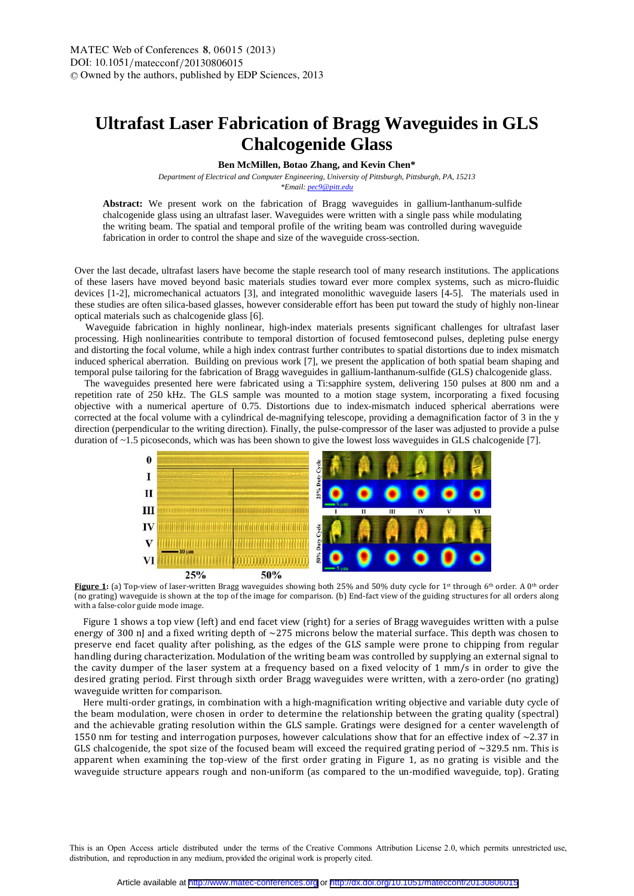## **Ultrafast Laser Fabrication of Bragg Waveguides in GLS Chalcogenide Glass**

**Ben McMillen, Botao Zhang, and Kevin Chen\*** 

*Department of Electrical and Computer Engineering, University of Pittsburgh, Pittsburgh, PA, 15213* 

*\*Email: pec9@pitt.edu*

**Abstract:** We present work on the fabrication of Bragg waveguides in gallium-lanthanum-sulfide chalcogenide glass using an ultrafast laser. Waveguides were written with a single pass while modulating the writing beam. The spatial and temporal profile of the writing beam was controlled during waveguide fabrication in order to control the shape and size of the waveguide cross-section.

Over the last decade, ultrafast lasers have become the staple research tool of many research institutions. The applications of these lasers have moved beyond basic materials studies toward ever more complex systems, such as micro-fluidic devices [1-2], micromechanical actuators [3], and integrated monolithic waveguide lasers [4-5]. The materials used in these studies are often silica-based glasses, however considerable effort has been put toward the study of highly non-linear optical materials such as chalcogenide glass [6].

 Waveguide fabrication in highly nonlinear, high-index materials presents significant challenges for ultrafast laser processing. High nonlinearities contribute to temporal distortion of focused femtosecond pulses, depleting pulse energy and distorting the focal volume, while a high index contrast further contributes to spatial distortions due to index mismatch induced spherical aberration. Building on previous work [7], we present the application of both spatial beam shaping and temporal pulse tailoring for the fabrication of Bragg waveguides in gallium-lanthanum-sulfide (GLS) chalcogenide glass.

 The waveguides presented here were fabricated using a Ti:sapphire system, delivering 150 pulses at 800 nm and a repetition rate of 250 kHz. The GLS sample was mounted to a motion stage system, incorporating a fixed focusing objective with a numerical aperture of 0.75. Distortions due to index-mismatch induced spherical aberrations were corrected at the focal volume with a cylindrical de-magnifying telescope, providing a demagnification factor of 3 in the y direction (perpendicular to the writing direction). Finally, the pulse-compressor of the laser was adjusted to provide a pulse duration of ~1.5 picoseconds, which was has been shown to give the lowest loss waveguides in GLS chalcogenide [7].



**Figure 1:** (a) Top-view of laser-written Bragg waveguides showing both 25% and 50% duty cycle for 1<sup>st</sup> through 6<sup>th</sup> order. A 0<sup>th</sup> order (no grating) waveguide is shown at the top of the image for comparison. (b) End-fact view of the guiding structures for all orders along with a false-color guide mode image.

Figure 1 shows a top view (left) and end facet view (right) for a series of Bragg waveguides written with a pulse energy of 300 nJ and a fixed writing depth of  $\sim$ 275 microns below the material surface. This depth was chosen to preserve end facet quality after polishing, as the edges of the GLS sample were prone to chipping from regular handling during characterization. Modulation of the writing beam was controlled by supplying an external signal to the cavity dumper of the laser system at a frequency based on a fixed velocity of  $1 \text{ mm/s}$  in order to give the desired grating period. First through sixth order Bragg waveguides were written, with a zero-order (no grating) waveguide written for comparison.

Here multi-order gratings, in combination with a high-magnification writing objective and variable duty cycle of the beam modulation, were chosen in order to determine the relationship between the grating quality (spectral) and the achievable grating resolution within the GLS sample. Gratings were designed for a center wavelength of 1550 nm for testing and interrogation purposes, however calculations show that for an effective index of  $\sim$ 2.37 in GLS chalcogenide, the spot size of the focused beam will exceed the required grating period of  $\sim$ 329.5 nm. This is apparent when examining the top-view of the first order grating in Figure 1, as no grating is visible and the waveguide structure appears rough and non-uniform (as compared to the un-modified waveguide, top). Grating

This is an Open Access article distributed under the terms of the Creative Commons Attribution License 2.0, which permits unrestricted use, distribution, and reproduction in any medium, provided the original work is properly cited.